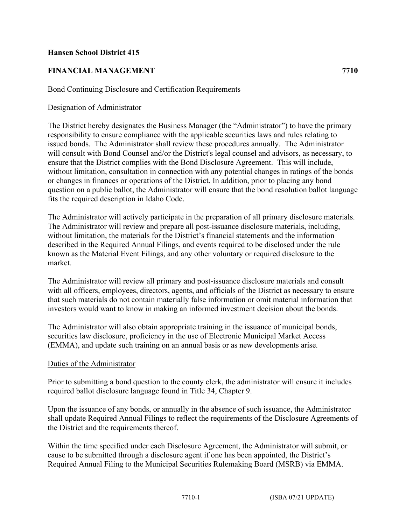## **Hansen School District 415**

# **FINANCIAL MANAGEMENT 7710**

### Bond Continuing Disclosure and Certification Requirements

## Designation of Administrator

The District hereby designates the Business Manager (the "Administrator") to have the primary responsibility to ensure compliance with the applicable securities laws and rules relating to issued bonds. The Administrator shall review these procedures annually. The Administrator will consult with Bond Counsel and/or the District's legal counsel and advisors, as necessary, to ensure that the District complies with the Bond Disclosure Agreement. This will include, without limitation, consultation in connection with any potential changes in ratings of the bonds or changes in finances or operations of the District. In addition, prior to placing any bond question on a public ballot, the Administrator will ensure that the bond resolution ballot language fits the required description in Idaho Code.

The Administrator will actively participate in the preparation of all primary disclosure materials. The Administrator will review and prepare all post-issuance disclosure materials, including, without limitation, the materials for the District's financial statements and the information described in the Required Annual Filings, and events required to be disclosed under the rule known as the Material Event Filings, and any other voluntary or required disclosure to the market.

The Administrator will review all primary and post-issuance disclosure materials and consult with all officers, employees, directors, agents, and officials of the District as necessary to ensure that such materials do not contain materially false information or omit material information that investors would want to know in making an informed investment decision about the bonds.

The Administrator will also obtain appropriate training in the issuance of municipal bonds, securities law disclosure, proficiency in the use of Electronic Municipal Market Access (EMMA), and update such training on an annual basis or as new developments arise.

#### Duties of the Administrator

Prior to submitting a bond question to the county clerk, the administrator will ensure it includes required ballot disclosure language found in Title 34, Chapter 9.

Upon the issuance of any bonds, or annually in the absence of such issuance, the Administrator shall update Required Annual Filings to reflect the requirements of the Disclosure Agreements of the District and the requirements thereof.

Within the time specified under each Disclosure Agreement, the Administrator will submit, or cause to be submitted through a disclosure agent if one has been appointed, the District's Required Annual Filing to the Municipal Securities Rulemaking Board (MSRB) via EMMA.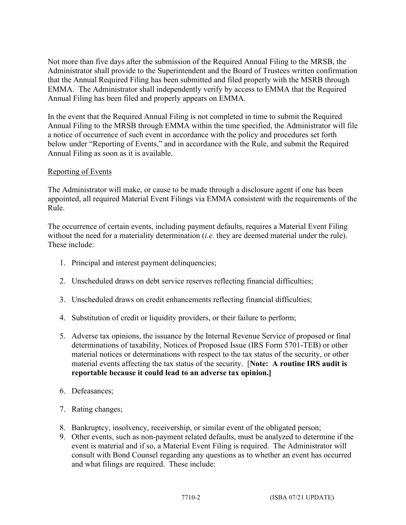Not more than five days after the submission of the Required Annual Filing to the MRSB, the Administrator shall provide to the Superintendent and the Board of Trustees written confirmation that the Annual Required Filing has been submitted and filed properly with the MSRB through EMMA. The Administrator shall independently verify by access to EMMA that the Required Annual Filing has been filed and properly appears on EMMA.

In the event that the Required Annual Filing is not completed in time to submit the Required Annual Filing to the MRSB through EMMA within the time specified, the Administrator will file a notice of occurrence of such event in accordance with the policy and procedures set forth below under "Reporting of Events," and in accordance with the Rule, and submit the Required Annual Filing as soon as it is available.

## Reporting of Events

The Administrator will make, or cause to be made through a disclosure agent if one has been appointed, all required Material Event Filings via EMMA consistent with the requirements of the Rule.

The occurrence of certain events, including payment defaults, requires a Material Event Filing without the need for a materiality determination (*i.e.* they are deemed material under the rule). These include:

- 1. Principal and interest payment delinquencies;
- 2. Unscheduled draws on debt service reserves reflecting financial difficulties;
- 3. Unscheduled draws on credit enhancements reflecting financial difficulties;
- 4. Substitution of credit or liquidity providers, or their failure to perform;
- 5. Adverse tax opinions, the issuance by the Internal Revenue Service of proposed or final determinations of taxability, Notices of Proposed Issue (IRS Form 5701-TEB) or other material notices or determinations with respect to the tax status of the security, or other material events affecting the tax status of the security. [**Note: A routine IRS audit is reportable because it could lead to an adverse tax opinion.]**
- 6. Defeasances;
- 7. Rating changes;
- 8. Bankruptcy, insolvency, receivership, or similar event of the obligated person;
- 9. Other events, such as non-payment related defaults, must be analyzed to determine if the event is material and if so, a Material Event Filing is required. The Administrator will consult with Bond Counsel regarding any questions as to whether an event has occurred and what filings are required. These include: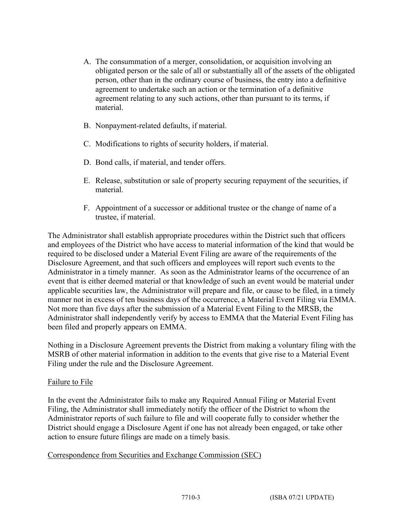- A. The consummation of a merger, consolidation, or acquisition involving an obligated person or the sale of all or substantially all of the assets of the obligated person, other than in the ordinary course of business, the entry into a definitive agreement to undertake such an action or the termination of a definitive agreement relating to any such actions, other than pursuant to its terms, if material.
- B. Nonpayment-related defaults, if material.
- C. Modifications to rights of security holders, if material.
- D. Bond calls, if material, and tender offers.
- E. Release, substitution or sale of property securing repayment of the securities, if material.
- F. Appointment of a successor or additional trustee or the change of name of a trustee, if material.

The Administrator shall establish appropriate procedures within the District such that officers and employees of the District who have access to material information of the kind that would be required to be disclosed under a Material Event Filing are aware of the requirements of the Disclosure Agreement, and that such officers and employees will report such events to the Administrator in a timely manner. As soon as the Administrator learns of the occurrence of an event that is either deemed material or that knowledge of such an event would be material under applicable securities law, the Administrator will prepare and file, or cause to be filed, in a timely manner not in excess of ten business days of the occurrence, a Material Event Filing via EMMA. Not more than five days after the submission of a Material Event Filing to the MRSB, the Administrator shall independently verify by access to EMMA that the Material Event Filing has been filed and properly appears on EMMA.

Nothing in a Disclosure Agreement prevents the District from making a voluntary filing with the MSRB of other material information in addition to the events that give rise to a Material Event Filing under the rule and the Disclosure Agreement.

#### Failure to File

In the event the Administrator fails to make any Required Annual Filing or Material Event Filing, the Administrator shall immediately notify the officer of the District to whom the Administrator reports of such failure to file and will cooperate fully to consider whether the District should engage a Disclosure Agent if one has not already been engaged, or take other action to ensure future filings are made on a timely basis.

#### Correspondence from Securities and Exchange Commission (SEC)